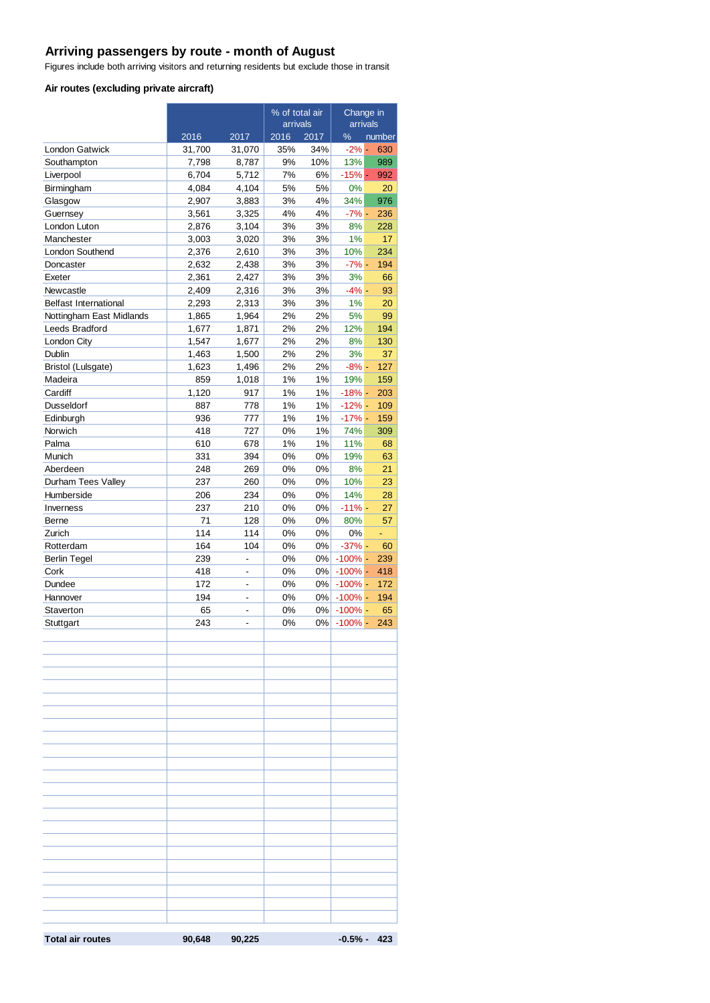#### **Arriving passengers by route - month of August**

Figures include both arriving visitors and returning residents but exclude those in transit

#### **Air routes (excluding private aircraft)**

|                              |                |                                   | % of total air<br>arrivals |             | Change in<br>arrivals   |               |
|------------------------------|----------------|-----------------------------------|----------------------------|-------------|-------------------------|---------------|
|                              | 2016           | 2017                              | 2016                       | 2017        | %                       | number        |
| <b>London Gatwick</b>        | 31,700         | 31,070                            | 35%                        | 34%         | $-2\%$ -                | 630           |
| Southampton                  | 7,798          | 8,787                             | 9%                         | 10%         | 13%                     | 989           |
| Liverpool                    | 6,704          | 5,712                             | 7%                         | 6%          | $-15%$ $-$              | 992           |
| Birmingham                   | 4,084          | 4,104                             | 5%                         | 5%          | 0%                      | 20            |
| Glasgow                      | 2,907          | 3,883                             | 3%                         | 4%          | 34%                     | 976           |
| Guernsey                     | 3,561          | 3,325                             | 4%                         | 4%          | $-7% -$                 | 236           |
| London Luton                 | 2,876          | 3,104                             | 3%                         | 3%          | 8%                      | 228           |
| Manchester                   | 3,003          | 3,020                             | 3%                         | 3%          | 1%                      | 17            |
| London Southend              | 2,376          | 2,610                             | 3%                         | 3%          | 10%                     | 234           |
| Doncaster                    | 2,632          | 2,438                             | 3%                         | 3%          | $-7%$ -                 | 194           |
| Exeter<br>Newcastle          | 2,361<br>2,409 | 2,427<br>2,316                    | 3%<br>3%                   | 3%<br>3%    | 3%<br>$-4% -$           | 66<br>93      |
| <b>Belfast International</b> | 2,293          | 2,313                             | 3%                         | 3%          | 1%                      | 20            |
| Nottingham East Midlands     | 1,865          | 1,964                             | 2%                         | 2%          | 5%                      | 99            |
| Leeds Bradford               | 1,677          | 1,871                             | 2%                         | 2%          | 12%                     | 194           |
| London City                  | 1.547          | 1,677                             | 2%                         | 2%          | 8%                      | 130           |
| Dublin                       | 1,463          | 1,500                             | 2%                         | 2%          | 3%                      | 37            |
| Bristol (Lulsgate)           | 1,623          | 1,496                             | 2%                         | 2%          | $-8% -$                 | 127           |
| Madeira                      | 859            | 1,018                             | 1%                         | 1%          | 19%                     | 159           |
| Cardiff                      | 1,120          | 917                               | 1%                         | 1%          | $-18% -$                | 203           |
| Dusseldorf                   | 887            | 778                               | 1%                         | 1%          | $-12% -$                | 109           |
| Edinburgh                    | 936            | 777                               | 1%                         | 1%          | $-17%$ -                | 159           |
| Norwich                      | 418            | 727                               | 0%                         | 1%          | 74%                     | 309           |
| Palma                        | 610            | 678                               | 1%                         | 1%          | 11%                     | 68            |
| Munich                       | 331            | 394                               | 0%                         | 0%          | 19%                     | 63            |
| Aberdeen                     | 248            | 269                               | 0%                         | 0%          | 8%                      | 21            |
| Durham Tees Valley           | 237            | 260                               | 0%                         | 0%          | 10%                     | 23            |
| Humberside                   | 206            | 234                               | 0%                         | 0%          | 14%                     | 28            |
| Inverness                    | 237            | 210                               | 0%                         | 0%          | $-11% -$                | 27            |
| Berne                        | 71             | 128                               | 0%                         | 0%          | 80%                     | 57            |
| Zurich                       | 114            | 114                               | 0%                         | 0%          | 0%                      | ۳             |
| Rotterdam                    | 164            | 104                               | 0%                         | 0%          | $-37%$ -                | 60            |
| <b>Berlin Tegel</b>          | 239            | $\qquad \qquad \blacksquare$      | 0%                         | 0%          | $-100%$ -               | 239           |
| Cork                         | 418            | $\frac{1}{2}$                     | 0%                         | 0%          | $-100%$ -               | 418           |
| Dundee                       | 172            | $\qquad \qquad \blacksquare$      | 0%                         | $0\%$       | $-100\%$ -              | 172           |
| Hannover<br>Staverton        | 194<br>65      | $\qquad \qquad \blacksquare$<br>٠ | 0%<br>0%                   | $0\%$<br>0% | $-100%$ -<br>$-100\%$ - | 194<br>65     |
| Stuttgart                    | 243            |                                   | 0%                         | 0%          | $-100% -$               | 243           |
|                              |                |                                   |                            |             |                         |               |
|                              |                |                                   |                            |             |                         |               |
|                              |                |                                   |                            |             |                         |               |
|                              |                |                                   |                            |             |                         |               |
|                              |                |                                   |                            |             |                         |               |
|                              |                |                                   |                            |             |                         |               |
|                              |                |                                   |                            |             |                         |               |
|                              |                |                                   |                            |             |                         |               |
|                              |                |                                   |                            |             |                         |               |
|                              |                |                                   |                            |             |                         |               |
|                              |                |                                   |                            |             |                         |               |
|                              |                |                                   |                            |             |                         |               |
|                              |                |                                   |                            |             |                         |               |
|                              |                |                                   |                            |             |                         |               |
|                              |                |                                   |                            |             |                         |               |
|                              |                |                                   |                            |             |                         |               |
|                              |                |                                   |                            |             |                         |               |
|                              |                |                                   |                            |             |                         |               |
|                              |                |                                   |                            |             |                         |               |
|                              |                |                                   |                            |             |                         |               |
|                              |                |                                   |                            |             |                         |               |
|                              |                |                                   |                            |             |                         |               |
|                              |                |                                   |                            |             |                         |               |
| <b>Total air routes</b>      | 90,648         | 90,225                            |                            |             |                         | $-0.5% - 423$ |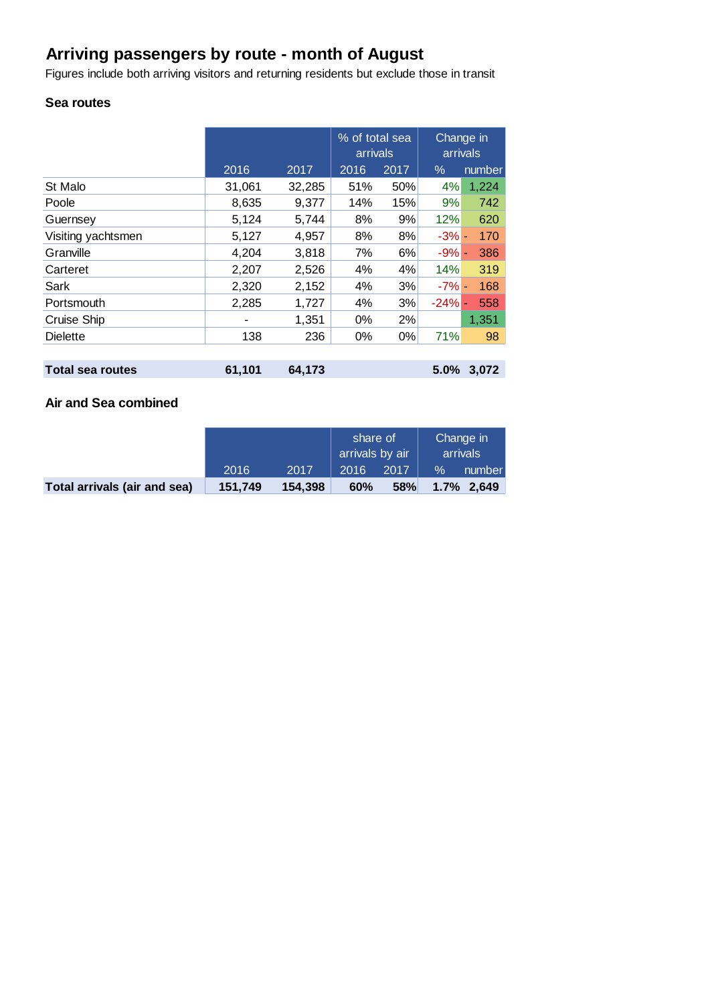# **Arriving passengers by route - month of August**

Figures include both arriving visitors and returning residents but exclude those in transit

# **Sea routes**

|                         |        |        | % of total sea<br>arrivals |       | Change in<br>arrivals |            |
|-------------------------|--------|--------|----------------------------|-------|-----------------------|------------|
|                         | 2016   | 2017   | 2016                       | 2017  | $\%$                  | number     |
| St Malo                 | 31,061 | 32,285 | 51%                        | 50%   | 4%                    | 1,224      |
| Poole                   | 8,635  | 9,377  | 14%                        | 15%   | 9%                    | 742        |
| Guernsey                | 5,124  | 5,744  | 8%                         | 9%    | 12%                   | 620        |
| Visiting yachtsmen      | 5,127  | 4,957  | 8%                         | 8%    | $-3% -$               | 170        |
| Granville               | 4,204  | 3,818  | 7%                         | 6%    | $-9% -$               | 386        |
| Carteret                | 2,207  | 2,526  | 4%                         | 4%    | 14%                   | 319        |
| Sark                    | 2,320  | 2,152  | 4%                         | 3%    | $-7\%$ -              | 168        |
| Portsmouth              | 2,285  | 1,727  | 4%                         | 3%    | $-24%$ -              | 558        |
| <b>Cruise Ship</b>      |        | 1,351  | $0\%$                      | 2%    |                       | 1,351      |
| <b>Dielette</b>         | 138    | 236    | 0%                         | $0\%$ | 71%                   | 98         |
|                         |        |        |                            |       |                       |            |
| <b>Total sea routes</b> | 61,101 | 64,173 |                            |       |                       | 5.0% 3,072 |

# **Air and Sea combined**

|                              |         |         | share of<br>arrivals by air |      | Change in<br>arrivals |               |
|------------------------------|---------|---------|-----------------------------|------|-----------------------|---------------|
|                              | 2016    | 2017    | 2016                        | 2017 | $\%$                  | number        |
| Total arrivals (air and sea) | 151.749 | 154.398 | 60%                         | 58%  |                       | $1.7\%$ 2,649 |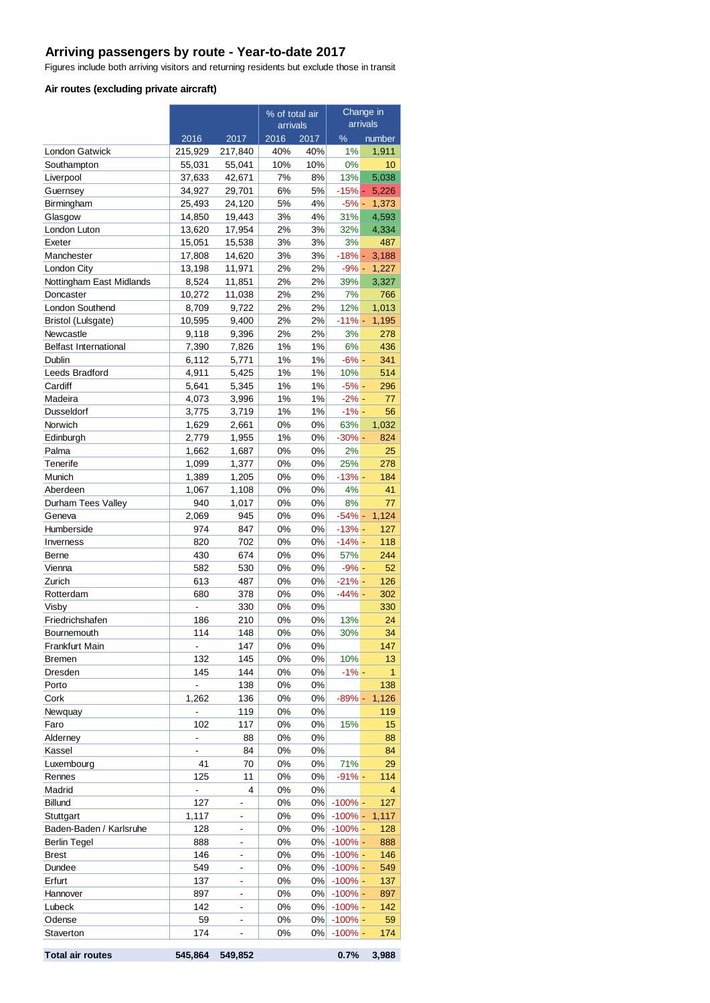#### **Arriving passengers by route - Year-to-date 2017**

Figures include both arriving visitors and returning residents but exclude those in transit

#### **Air routes (excluding private aircraft)**

|                              | % of total air |                          |          | Change in |            |        |
|------------------------------|----------------|--------------------------|----------|-----------|------------|--------|
|                              |                |                          | arrivals |           | arrivals   |        |
|                              | 2016           | 2017                     | 2016     | 2017      | %          | number |
| <b>London Gatwick</b>        | 215,929        | 217,840                  | 40%      | 40%       | 1%         | 1,911  |
| Southampton                  | 55,031         | 55,041                   | 10%      | 10%       | 0%         | 10     |
| Liverpool                    | 37,633         | 42,671                   | 7%       | 8%        | 13%        | 5,038  |
| Guernsey                     | 34,927         | 29,701                   | 6%       | 5%        | $-15%$ -   | 5,226  |
| Birmingham                   | 25,493         | 24,120                   | 5%       | 4%        | $-5% -$    | 1,373  |
| Glasgow                      | 14,850         | 19,443                   | 3%       | 4%        | 31%        | 4,593  |
| London Luton                 | 13,620         | 17,954                   | 2%       | 3%        | 32%        | 4,334  |
| Exeter                       | 15,051         | 15,538                   | 3%       | 3%        | 3%         | 487    |
| Manchester                   | 17,808         | 14,620                   | 3%       | 3%        | $-18%$ -   | 3,188  |
| London City                  | 13,198         | 11,971                   | 2%       | 2%        | $-9\%$ -   | 1,227  |
| Nottingham East Midlands     | 8,524          | 11,851                   | 2%       | 2%        | 39%        | 3,327  |
| Doncaster                    | 10,272         | 11,038                   | 2%       | 2%        | 7%         | 766    |
| London Southend              | 8,709          | 9,722                    | 2%       | 2%        | 12%        | 1,013  |
| Bristol (Lulsgate)           | 10,595         | 9,400                    | 2%       | 2%        | $-11% -$   | 1,195  |
| Newcastle                    | 9,118          | 9,396                    | 2%       | 2%        | 3%         | 278    |
| <b>Belfast International</b> | 7,390          | 7,826                    | 1%       | 1%        | 6%         | 436    |
| Dublin                       | 6,112          | 5,771                    | 1%       | 1%        | $-6% -$    | 341    |
| Leeds Bradford               | 4,911          | 5,425                    | 1%       | 1%        | 10%        | 514    |
| Cardiff                      | 5,641          | 5,345                    | 1%       | 1%        | $-5% -$    | 296    |
| Madeira                      | 4,073          | 3,996                    | 1%       | 1%        | $-2% -$    | 77     |
| Dusseldorf                   | 3,775          | 3,719                    | 1%       | 1%        | $-1\%$ -   | 56     |
| Norwich                      | 1,629          | 2,661                    | 0%       | 0%        | 63%        | 1,032  |
| Edinburgh                    | 2,779          | 1,955                    | 1%       | 0%        | $-30%$ -   | 824    |
| Palma                        | 1,662          | 1,687                    | 0%       | 0%        | 2%         | 25     |
| Tenerife                     | 1,099          | 1,377                    | 0%       | 0%        | 25%        | 278    |
| Munich                       | 1,389          | 1,205                    | 0%       | 0%        | $-13%$ -   | 184    |
| Aberdeen                     | 1,067          | 1,108                    | 0%       | 0%        | 4%         | 41     |
| Durham Tees Valley           | 940            | 1,017                    | 0%       | $0\%$     | 8%         | 77     |
| Geneva                       | 2,069          | 945                      | 0%       | 0%        | $-54% -$   | 1,124  |
| Humberside                   | 974            | 847                      | 0%       | 0%        | $-13% -$   | 127    |
| Inverness                    | 820            | 702                      | 0%       | 0%        | $-14%$ -   | 118    |
| Berne                        | 430            | 674                      | 0%       | 0%        | 57%        | 244    |
| Vienna                       | 582            | 530                      | 0%       | 0%        | $-9% -$    | 52     |
| Zurich                       | 613            | 487                      | 0%       | 0%        | $-21% -$   | 126    |
| Rotterdam                    | 680            | 378                      | 0%       | 0%        | $-44%$ -   | 302    |
| Visby                        | $\overline{a}$ | 330                      | 0%       | 0%        |            | 330    |
| Friedrichshafen              | 186            | 210                      | 0%       | 0%        | 13%        | 24     |
| Bournemouth                  | 114            | 148                      | 0%       | 0%        | 30%        | 34     |
| Frankfurt Main               | ۰              | 147                      | 0%       | 0%        |            | 147    |
| <b>Bremen</b>                | 132            | 145                      | 0%       | 0%        | 10%        | 13     |
| Dresden                      | 145            | 144                      | 0%       | 0%        | $-1\%$ -   | 1      |
| Porto                        |                | 138                      | 0%       | 0%        |            | 138    |
| Cork                         | 1,262          | 136                      | 0%       | 0%        | $-89\%$ -  | 1,126  |
| Newquay                      | ä,             | 119                      | 0%       | 0%        |            | 119    |
| Faro                         | 102            | 117                      | 0%       | 0%        | 15%        | 15     |
| Alderney                     | ÷,             | 88                       | 0%       | 0%        |            | 88     |
| Kassel                       | $\frac{1}{2}$  | 84                       | 0%       | 0%        |            | 84     |
| Luxembourg                   | 41             | 70                       | 0%       | 0%        | 71%        | 29     |
| Rennes                       | 125            | 11                       | 0%       | 0%        | $-91% -$   | 114    |
| Madrid                       |                | 4                        | 0%       | 0%        |            | 4      |
| <b>Billund</b>               | 127            |                          | 0%       | 0%        | $-100%$ -  | 127    |
| Stuttgart                    | 1,117          | $\overline{\phantom{0}}$ | 0%       | 0%        | $-100%$ -  | 1,117  |
| Baden-Baden / Karlsruhe      | 128            | $\overline{\phantom{0}}$ | 0%       | 0%        | $-100%$ -  | 128    |
| <b>Berlin Tegel</b>          | 888            | -                        | 0%       | 0%        | $-100%$ -  | 888    |
| <b>Brest</b>                 | 146            | $\overline{\phantom{0}}$ | 0%       | 0%        | -100% -    | 146    |
| Dundee                       | 549            | $\overline{a}$           | 0%       | 0%        | $-100%$ -  | 549    |
| Erfurt                       | 137            | $\overline{\phantom{0}}$ | 0%       | 0%        | $-100\%$ - | 137    |
| Hannover                     | 897            | $\overline{\phantom{0}}$ | 0%       | 0%        | $-100%$ -  | 897    |
| Lubeck                       | 142            | -                        | 0%       | 0%        | $-100\%$ - | 142    |
| Odense                       | 59             | $\overline{\phantom{0}}$ | 0%       | 0%        | $-100\%$ - | 59     |
| Staverton                    | 174            |                          | 0%       | 0%        | $-100\%$ - | 174    |
|                              |                |                          |          |           |            |        |
| <b>Total air routes</b>      | 545,864        | 549,852                  |          |           | 0.7%       | 3,988  |